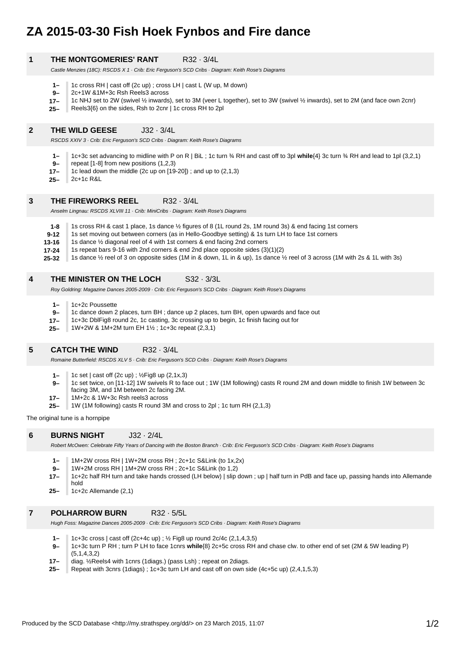# **ZA 2015-03-30 Fish Hoek Fynbos and Fire dance**

# **1 THE MONTGOMERIES' RANT R32 · 3/4L**

Castle Menzies (18C): RSCDS X 1 · Crib: Eric Ferguson's SCD Cribs · Diagram: Keith Rose's Diagrams

- **1–** 1c cross RH | cast off (2c up) ; cross LH | cast L (W up, M down)
- **9–** 2c+1W &1M+3c Rsh Reels3 across
- **17–** 1c NHJ set to 2W (swivel ½ inwards), set to 3M (veer L together), set to 3W (swivel ½ inwards), set to 2M (and face own 2cnr)
- **25–** Reels3{6} on the sides, Rsh to 2cnr | 1c cross RH to 2pl

# **2 THE WILD GEESE** J32 · 3/4L

RSCDS XXIV 3 · Crib: Eric Ferguson's SCD Cribs · Diagram: Keith Rose's Diagrams

- **1–** 1c+3c set advancing to midline with P on R | BiL ; 1c turn ¾ RH and cast off to 3pl **while**{4} 3c turn ¾ RH and lead to 1pl (3,2,1)
- **9–** repeat [1-8] from new positions (1,2,3)
- **17–** 1c lead down the middle (2c up on [19-20]) ; and up to (2,1,3)
- **25–** 2c+1c R&L

# **3 THE FIREWORKS REEL B32 · 3/4L**

Anselm Lingnau: RSCDS XLVIII 11 · Crib: MiniCribs · Diagram: Keith Rose's Diagrams

- **1-8** 1s cross RH & cast 1 place, 1s dance ½ figures of 8 (1L round 2s, 1M round 3s) & end facing 1st corners
- **9-12** 1s set moving out between corners (as in Hello-Goodbye setting) & 1s turn LH to face 1st corners
- **13-16** 1s dance ½ diagonal reel of 4 with 1st corners & end facing 2nd corners
- **17-24** 1s repeat bars 9-16 with 2nd corners & end 2nd place opposite sides (3)(1)(2)
- **25-32** 1s dance ½ reel of 3 on opposite sides (1M in & down, 1L in & up), 1s dance ½ reel of 3 across (1M with 2s & 1L with 3s)

# **4 THE MINISTER ON THE LOCH S32 · 3/3L**

Roy Goldring: Magazine Dances 2005-2009 · Crib: Eric Ferguson's SCD Cribs · Diagram: Keith Rose's Diagrams

- **1–** 1c+2c Poussette
- **9–** 1c dance down 2 places, turn BH ; dance up 2 places, turn BH, open upwards and face out
- **17–** 1c+3c DblFig8 round 2c, 1c casting, 3c crossing up to begin, 1c finish facing out for
- **25–** 1W+2W & 1M+2M turn EH 1½ ; 1c+3c repeat (2,3,1)

# **5 CATCH THE WIND** R32 · 3/4L

Romaine Butterfield: RSCDS XLV 5 · Crib: Eric Ferguson's SCD Cribs · Diagram: Keith Rose's Diagrams

- **1–** 1c set | cast off (2c up) ; ½Fig8 up (2,1x,3)
- **9–** 1c set twice, on [11-12] 1W swivels R to face out ; 1W (1M following) casts R round 2M and down middle to finish 1W between 3c
- facing 3M, and 1M between 2c facing 2M.
- **17–** 1M+2c & 1W+3c Rsh reels3 across
- **25–** 1W (1M following) casts R round 3M and cross to 2pl; 1c turn RH (2,1,3)

The original tune is a hornpipe

# **6 BURNS NIGHT** J32 · 2/4L

Robert McOwen: Celebrate Fifty Years of Dancing with the Boston Branch · Crib: Eric Ferguson's SCD Cribs · Diagram: Keith Rose's Diagrams

- **1–** 1M+2W cross RH | 1W+2M cross RH ; 2c+1c S&Link (to 1x,2x)
- **9–** 1W+2M cross RH | 1M+2W cross RH ; 2c+1c S&Link (to 1,2)
- **17–** 1c+2c half RH turn and take hands crossed (LH below) | slip down ; up | half turn in PdB and face up, passing hands into Allemande hold
- **25–** 1c+2c Allemande (2,1)

# **7 POLHARROW BURN** R32 · 5/5L

Hugh Foss: Magazine Dances 2005-2009 · Crib: Eric Ferguson's SCD Cribs · Diagram: Keith Rose's Diagrams

- **1–** 1c+3c cross | cast off (2c+4c up) ; ½ Fig8 up round 2c/4c (2,1,4,3,5)
- **9–** 1c+3c turn P RH ; turn P LH to face 1cnrs **while**{8} 2c+5c cross RH and chase clw. to other end of set (2M & 5W leading P) (5,1,4,3,2)
- **17–** diag. ½Reels4 with 1cnrs (1diags.) (pass Lsh) ; repeat on 2diags.
- **25–** Repeat with 3cnrs (1diags) ; 1c+3c turn LH and cast off on own side (4c+5c up) (2,4,1,5,3)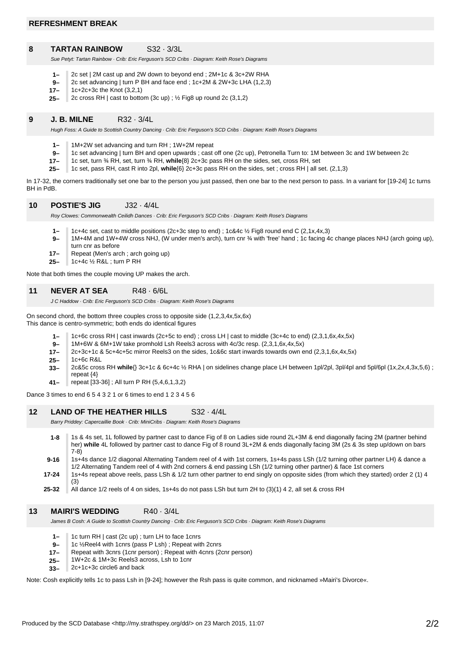#### **8 TARTAN RAINBOW** S32 · 3/3L

Sue Petyt: Tartan Rainbow · Crib: Eric Ferguson's SCD Cribs · Diagram: Keith Rose's Diagrams

- **1–** 2c set | 2M cast up and 2W down to beyond end ; 2M+1c & 3c+2W RHA
- **9–** 2c set advancing | turn P BH and face end ; 1c+2M & 2W+3c LHA (1,2,3)
- **17–** 1c+2c+3c the Knot (3,2,1)
- **25–** 2c cross RH | cast to bottom (3c up) ; ½ Fig8 up round 2c (3,1,2)

# **9 J. B. MILNE** R32 · 3/4L

Hugh Foss: A Guide to Scottish Country Dancing · Crib: Eric Ferguson's SCD Cribs · Diagram: Keith Rose's Diagrams

- **1–** 1M+2W set advancing and turn RH ; 1W+2M repeat
- **9–** 1c set advancing | turn BH and open upwards ; cast off one (2c up), Petronella Turn to: 1M between 3c and 1W between 2c
- **17–** 1c set, turn ¾ RH, set, turn ¾ RH, **while**{8} 2c+3c pass RH on the sides, set, cross RH, set
- **25–** 1c set, pass RH, cast R into 2pl, **while**{6} 2c+3c pass RH on the sides, set ; cross RH | all set. (2,1,3)

In 17-32, the corners traditionally set one bar to the person you just passed, then one bar to the next person to pass. In a variant for [19-24] 1c turns BH in PdB.

#### **10 POSTIE'S JIG** J32 · 4/4L

Roy Clowes: Commonwealth Ceilidh Dances · Crib: Eric Ferguson's SCD Cribs · Diagram: Keith Rose's Diagrams

- **1–** 1c+4c set, cast to middle positions (2c+3c step to end) ; 1c&4c ½ Fig8 round end C (2,1x,4x,3)
- **9–** 1M+4M and 1W+4W cross NHJ, (W under men's arch), turn cnr ¾ with 'free' hand ; 1c facing 4c change places NHJ (arch going up),
	- turn cnr as before
	- **17–** Repeat (Men's arch ; arch going up)
	- **25–**  $1c+4c$  % R&L ; turn P RH

Note that both times the couple moving UP makes the arch.

# **11 NEVER AT SEA** R48 · 6/6L

J C Haddow · Crib: Eric Ferguson's SCD Cribs · Diagram: Keith Rose's Diagrams

On second chord, the bottom three couples cross to opposite side (1,2,3,4x,5x,6x) This dance is centro-symmetric; both ends do identical figures

- **1–** 1c+6c cross RH | cast inwards (2c+5c to end) ; cross LH | cast to middle (3c+4c to end) (2,3,1,6x,4x,5x)
- **9–** 1M+6W & 6M+1W take promhold Lsh Reels3 across with 4c/3c resp. (2,3,1,6x,4x,5x)
- **17–** 2c+3c+1c & 5c+4c+5c mirror Reels3 on the sides, 1c&6c start inwards towards own end (2,3,1,6x,4x,5x)
- **25–** 1c+6c R&L
- **33–** 2c&5c cross RH **while**{} 3c+1c & 6c+4c ½ RHA | on sidelines change place LH between 1pl/2pl, 3pl/4pl and 5pl/6pl (1x,2x,4,3x,5,6) ; repeat {4}
- **41–** repeat [33-36] ; All turn P RH (5,4,6,1,3,2)

Dance 3 times to end 6 5 4 3 2 1 or 6 times to end 1 2 3 4 5 6

#### **12 LAND OF THE HEATHER HILLS** S32 · 4/4L

Barry Priddey: Capercaillie Book · Crib: MiniCribs · Diagram: Keith Rose's Diagrams

**17-24 9-16 1-8** 1s & 4s set, 1L followed by partner cast to dance Fig of 8 on Ladies side round 2L+3M & end diagonally facing 2M (partner behind her) **while** 4L followed by partner cast to dance Fig of 8 round 3L+2M & ends diagonally facing 3M (2s & 3s step up/down on bars 7-8) 1s+4s dance 1/2 diagonal Alternating Tandem reel of 4 with 1st corners, 1s+4s pass LSh (1/2 turning other partner LH) & dance a 1/2 Alternating Tandem reel of 4 with 2nd corners & end passing LSh (1/2 turning other partner) & face 1st corners 1s+4s repeat above reels, pass LSh & 1/2 turn other partner to end singly on opposite sides (from which they started) order 2 (1) 4 (3)

**25-32** All dance 1/2 reels of 4 on sides, 1s+4s do not pass LSh but turn 2H to (3)(1) 4 2, all set & cross RH

# **13 MAIRI'S WEDDING** R40 · 3/4L

James B Cosh: A Guide to Scottish Country Dancing · Crib: Eric Ferguson's SCD Cribs · Diagram: Keith Rose's Diagrams

- **1–** 1c turn RH | cast (2c up) ; turn LH to face 1cnrs
- **9–** 1c ½Reel4 with 1cnrs (pass P Lsh) ; Repeat with 2cnrs
- **17–** Repeat with 3cnrs (1cnr person) ; Repeat with 4cnrs (2cnr person)
- **25–** 1W+2c & 1M+3c Reels3 across, Lsh to 1cnr
- **33–** 2c+1c+3c circle6 and back

Note: Cosh explicitly tells 1c to pass Lsh in [9-24]; however the Rsh pass is quite common, and nicknamed »Mairi's Divorce«.